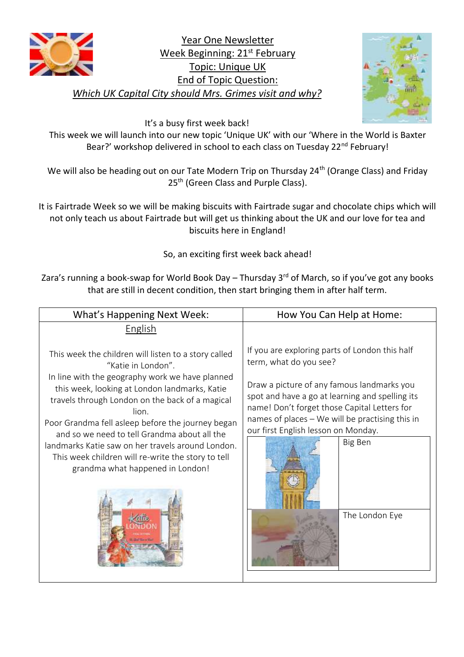

Year One Newsletter Week Beginning: 21<sup>st</sup> February Topic: Unique UK End of Topic Question: *Which UK Capital City should Mrs. Grimes visit and why?*



It's a busy first week back!

This week we will launch into our new topic 'Unique UK' with our 'Where in the World is Baxter Bear?' workshop delivered in school to each class on Tuesday 22<sup>nd</sup> February!

We will also be heading out on our Tate Modern Trip on Thursday 24<sup>th</sup> (Orange Class) and Friday 25<sup>th</sup> (Green Class and Purple Class).

It is Fairtrade Week so we will be making biscuits with Fairtrade sugar and chocolate chips which will not only teach us about Fairtrade but will get us thinking about the UK and our love for tea and biscuits here in England!

So, an exciting first week back ahead!

Zara's running a book-swap for World Book Day – Thursday  $3<sup>rd</sup>$  of March, so if you've got any books that are still in decent condition, then start bringing them in after half term.

| <b>What's Happening Next Week:</b>                                                                                                                                                                                                                                                                                                                                                                                                                                                             | How You Can Help at Home:                                                                                                                                                                                                                                                                                                                        |
|------------------------------------------------------------------------------------------------------------------------------------------------------------------------------------------------------------------------------------------------------------------------------------------------------------------------------------------------------------------------------------------------------------------------------------------------------------------------------------------------|--------------------------------------------------------------------------------------------------------------------------------------------------------------------------------------------------------------------------------------------------------------------------------------------------------------------------------------------------|
| English                                                                                                                                                                                                                                                                                                                                                                                                                                                                                        |                                                                                                                                                                                                                                                                                                                                                  |
| This week the children will listen to a story called<br>"Katie in London".<br>In line with the geography work we have planned<br>this week, looking at London landmarks, Katie<br>travels through London on the back of a magical<br>lion.<br>Poor Grandma fell asleep before the journey began<br>and so we need to tell Grandma about all the<br>landmarks Katie saw on her travels around London.<br>This week children will re-write the story to tell<br>grandma what happened in London! | If you are exploring parts of London this half<br>term, what do you see?<br>Draw a picture of any famous landmarks you<br>spot and have a go at learning and spelling its<br>name! Don't forget those Capital Letters for<br>names of places - We will be practising this in<br>our first English lesson on Monday.<br>Big Ben<br>The London Eye |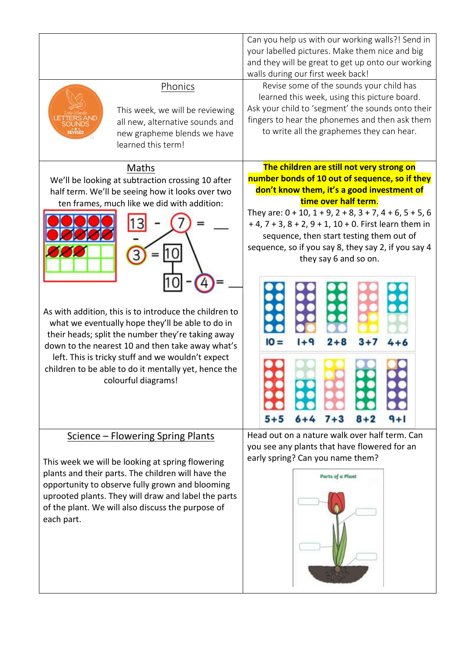